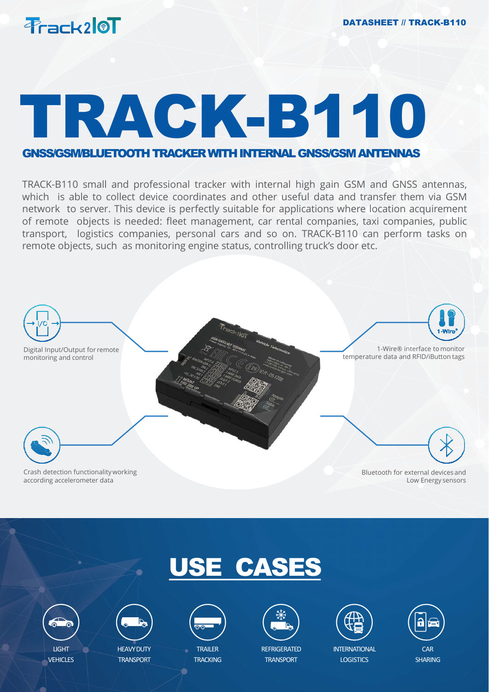

# TRACK-B110

### GNSS/GSM/BLUETOOTHTRACKERWITHINTERNALGNSS/GSMANTENNAS

TRACK-B110 small and professional tracker with internal high gain GSM and GNSS antennas, which is able to collect device coordinates and other useful data and transfer them via GSM network to server. This device is perfectly suitable for applications where location acquirement of remote objects is needed: fleet management, car rental companies, taxi companies, public transport, logistics companies, personal cars and so on. TRACK-B110 can perform tasks on remote objects, such as monitoring engine status, controlling truck's door etc.



## USE CASES







HEAVY DUTY **TRANSPORT** 



**TRAILER TRACKING** 



**REFRIGERATED TRANSPORT** 



**INTERNATIONAL LOGISTICS** 



SHARING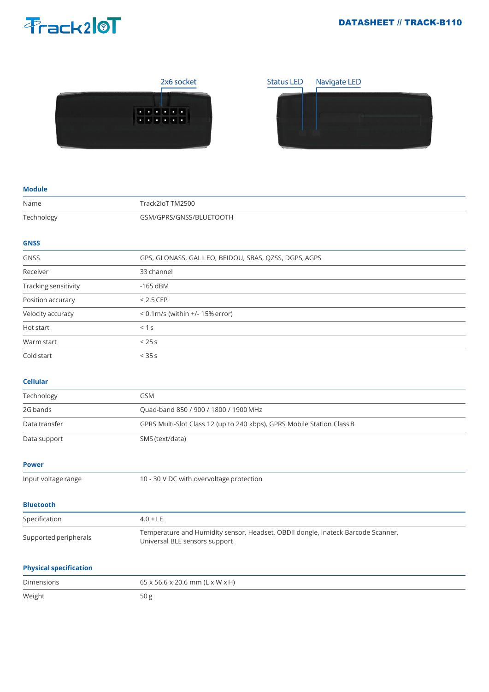### **Prack20T**

### DATASHEET // TRACK-B110





#### **Module**

| Name                          | Track2IoT TM2500                                                                                                  |
|-------------------------------|-------------------------------------------------------------------------------------------------------------------|
| Technology                    | GSM/GPRS/GNSS/BLUETOOTH                                                                                           |
|                               |                                                                                                                   |
| <b>GNSS</b>                   |                                                                                                                   |
| <b>GNSS</b>                   | GPS, GLONASS, GALILEO, BEIDOU, SBAS, QZSS, DGPS, AGPS                                                             |
| Receiver                      | 33 channel                                                                                                        |
| Tracking sensitivity          | $-165$ dBM                                                                                                        |
| Position accuracy             | $< 2.5$ CEP                                                                                                       |
| Velocity accuracy             | < 0.1m/s (within +/- 15% error)                                                                                   |
| Hot start                     | < 1 s                                                                                                             |
| Warm start                    | < 25s                                                                                                             |
| Cold start                    | < 35s                                                                                                             |
| <b>Cellular</b>               |                                                                                                                   |
| Technology                    | <b>GSM</b>                                                                                                        |
| 2G bands                      | Quad-band 850 / 900 / 1800 / 1900 MHz                                                                             |
| Data transfer                 | GPRS Multi-Slot Class 12 (up to 240 kbps), GPRS Mobile Station Class B                                            |
| Data support                  | SMS (text/data)                                                                                                   |
| <b>Power</b>                  |                                                                                                                   |
| Input voltage range           | 10 - 30 V DC with overvoltage protection                                                                          |
| <b>Bluetooth</b>              |                                                                                                                   |
| Specification                 | $4.0 + LE$                                                                                                        |
| Supported peripherals         | Temperature and Humidity sensor, Headset, OBDII dongle, Inateck Barcode Scanner,<br>Universal BLE sensors support |
| <b>Physical specification</b> |                                                                                                                   |
| Dimensions                    | 65 x 56.6 x 20.6 mm (L x W x H)                                                                                   |
| Weight                        | 50g                                                                                                               |